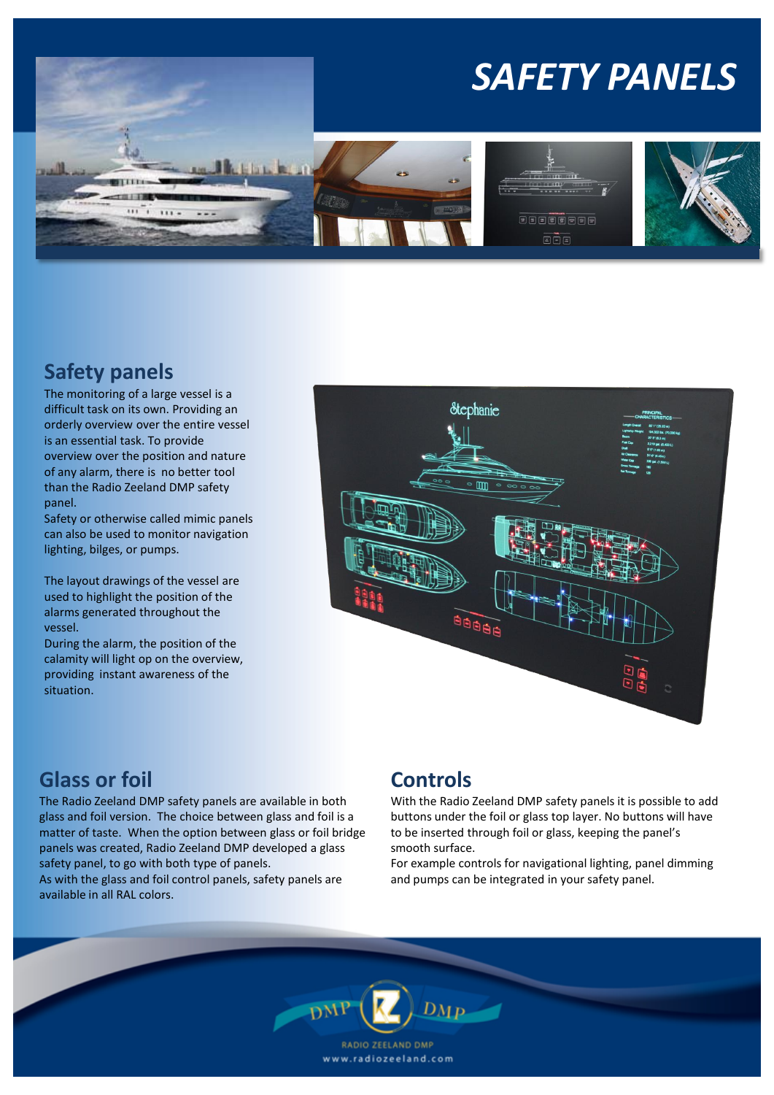

## **Safety panels**

The monitoring of a large vessel is a difficult task on its own. Providing an orderly overview over the entire vessel is an essential task. To provide overview over the position and nature of any alarm, there is no better tool than the Radio Zeeland DMP safety panel.

Safety or otherwise called mimic panels can also be used to monitor navigation lighting, bilges, or pumps.

The layout drawings of the vessel are used to highlight the position of the alarms generated throughout the vessel.

During the alarm, the position of the calamity will light op on the overview, providing instant awareness of the situation.



## **Glass or foil**

The Radio Zeeland DMP safety panels are available in both glass and foil version. The choice between glass and foil is a matter of taste. When the option between glass or foil bridge panels was created, Radio Zeeland DMP developed a glass safety panel, to go with both type of panels. As with the glass and foil control panels, safety panels are available in all RAL colors.

## **Controls**

With the Radio Zeeland DMP safety panels it is possible to add buttons under the foil or glass top layer. No buttons will have to be inserted through foil or glass, keeping the panel's smooth surface.

For example controls for navigational lighting, panel dimming and pumps can be integrated in your safety panel.